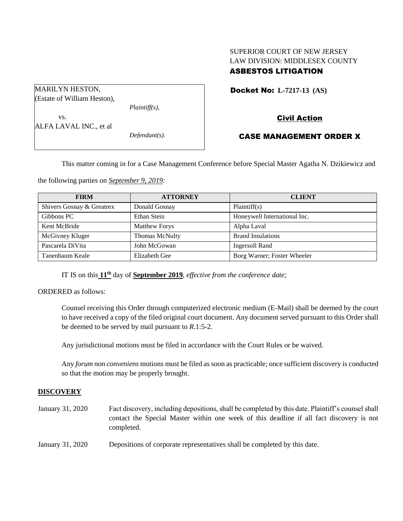# SUPERIOR COURT OF NEW JERSEY LAW DIVISION: MIDDLESEX COUNTY ASBESTOS LITIGATION

| <b>MARILYN HESTON,</b>      |                  |  |
|-----------------------------|------------------|--|
|                             |                  |  |
| (Estate of William Heston), |                  |  |
|                             | $Plaintiff(s)$ , |  |
| VS.                         |                  |  |
| ALFA LAVAL INC., et al      |                  |  |
|                             | $Defendant(s)$ . |  |
|                             |                  |  |

## Docket No: **L-7217-13 (AS)**

# Civil Action

## CASE MANAGEMENT ORDER X

This matter coming in for a Case Management Conference before Special Master Agatha N. Dzikiewicz and

the following parties on *September 9, 2019:*

| <b>FIRM</b>               | <b>ATTORNEY</b>       | <b>CLIENT</b>                |
|---------------------------|-----------------------|------------------------------|
| Shivers Gosnay & Greatrex | Donald Gosnay         | Plaintiff(s)                 |
| Gibbons PC                | Ethan Stein           | Honeywell International Inc. |
| Kent McBride              | <b>Matthew Forys</b>  | Alpha Laval                  |
| McGivney Kluger           | <b>Thomas McNulty</b> | <b>Brand Insulations</b>     |
| Pascarela DiVita          | John McGowan          | <b>Ingersoll Rand</b>        |
| Tanenbaum Keale           | Elizabeth Gee         | Borg Warner; Foster Wheeler  |

IT IS on this **11th** day of **September 2019**, *effective from the conference date;*

ORDERED as follows:

Counsel receiving this Order through computerized electronic medium (E-Mail) shall be deemed by the court to have received a copy of the filed original court document. Any document served pursuant to this Order shall be deemed to be served by mail pursuant to *R*.1:5-2.

Any jurisdictional motions must be filed in accordance with the Court Rules or be waived.

Any *forum non conveniens* motions must be filed as soon as practicable; once sufficient discovery is conducted so that the motion may be properly brought.

#### **DISCOVERY**

- January 31, 2020 Fact discovery, including depositions, shall be completed by this date. Plaintiff's counsel shall contact the Special Master within one week of this deadline if all fact discovery is not completed.
- January 31, 2020 Depositions of corporate representatives shall be completed by this date.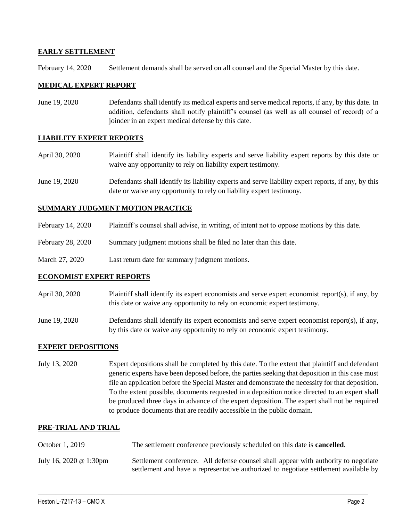### **EARLY SETTLEMENT**

February 14, 2020 Settlement demands shall be served on all counsel and the Special Master by this date.

### **MEDICAL EXPERT REPORT**

June 19, 2020 Defendants shall identify its medical experts and serve medical reports, if any, by this date. In addition, defendants shall notify plaintiff's counsel (as well as all counsel of record) of a joinder in an expert medical defense by this date.

#### **LIABILITY EXPERT REPORTS**

- April 30, 2020 Plaintiff shall identify its liability experts and serve liability expert reports by this date or waive any opportunity to rely on liability expert testimony.
- June 19, 2020 Defendants shall identify its liability experts and serve liability expert reports, if any, by this date or waive any opportunity to rely on liability expert testimony.

### **SUMMARY JUDGMENT MOTION PRACTICE**

- February 14, 2020 Plaintiff's counsel shall advise, in writing, of intent not to oppose motions by this date.
- February 28, 2020 Summary judgment motions shall be filed no later than this date.
- March 27, 2020 Last return date for summary judgment motions.

#### **ECONOMIST EXPERT REPORTS**

- April 30, 2020 Plaintiff shall identify its expert economists and serve expert economist report(s), if any, by this date or waive any opportunity to rely on economic expert testimony.
- June 19, 2020 Defendants shall identify its expert economists and serve expert economist report(s), if any, by this date or waive any opportunity to rely on economic expert testimony.

## **EXPERT DEPOSITIONS**

July 13, 2020 Expert depositions shall be completed by this date. To the extent that plaintiff and defendant generic experts have been deposed before, the parties seeking that deposition in this case must file an application before the Special Master and demonstrate the necessity for that deposition. To the extent possible, documents requested in a deposition notice directed to an expert shall be produced three days in advance of the expert deposition. The expert shall not be required to produce documents that are readily accessible in the public domain.

#### **PRE-TRIAL AND TRIAL**

October 1, 2019 The settlement conference previously scheduled on this date is **cancelled**. July 16, 2020 @ 1:30pm Settlement conference. All defense counsel shall appear with authority to negotiate settlement and have a representative authorized to negotiate settlement available by

 $\_$  , and the set of the set of the set of the set of the set of the set of the set of the set of the set of the set of the set of the set of the set of the set of the set of the set of the set of the set of the set of th